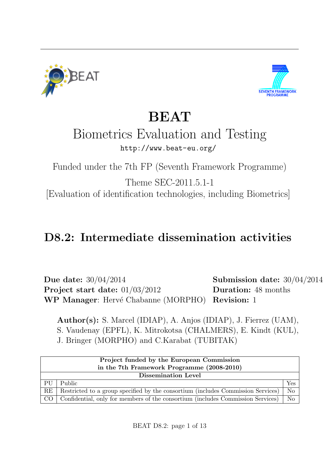



# BEAT

## Biometrics Evaluation and Testing <http://www.beat-eu.org/>

Funded under the 7th FP (Seventh Framework Programme) Theme SEC-2011.5.1-1 [Evaluation of identification technologies, including Biometrics]

## D8.2: Intermediate dissemination activities

Due date:  $30/04/2014$  Submission date:  $30/04/2014$ Project start date:  $01/03/2012$  Duration: 48 months WP Manager: Hervé Chabanne (MORPHO) Revision: 1

Author(s): S. Marcel (IDIAP), A. Anjos (IDIAP), J. Fierrez (UAM), S. Vaudenay (EPFL), K. Mitrokotsa (CHALMERS), E. Kindt (KUL), J. Bringer (MORPHO) and C.Karabat (TUBITAK)

|                     | Project funded by the European Commission                                        |                      |  |  |
|---------------------|----------------------------------------------------------------------------------|----------------------|--|--|
|                     | in the 7th Framework Programme (2008-2010)                                       |                      |  |  |
| Dissemination Level |                                                                                  |                      |  |  |
| PU.                 | Public                                                                           | $\operatorname{Yes}$ |  |  |
| RE                  | Restricted to a group specified by the consortium (includes Commission Services) | No                   |  |  |
| CO <sub>1</sub>     | Confidential, only for members of the consortium (includes Commission Services)  | $\rm{No}$            |  |  |

BEAT D8.2: page 1 of [13](#page-12-0)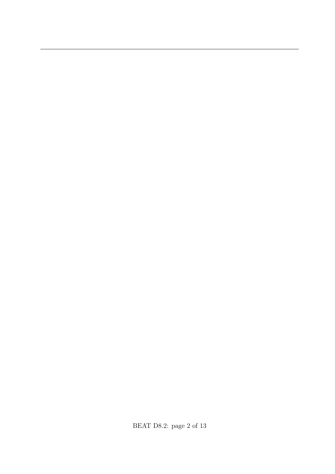BEAT D8.2: page 2 of [13](#page-12-0)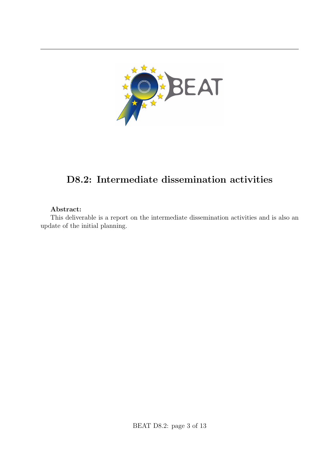

### D8.2: Intermediate dissemination activities

#### Abstract:

This deliverable is a report on the intermediate dissemination activities and is also an update of the initial planning.

BEAT D8.2: page 3 of [13](#page-12-0)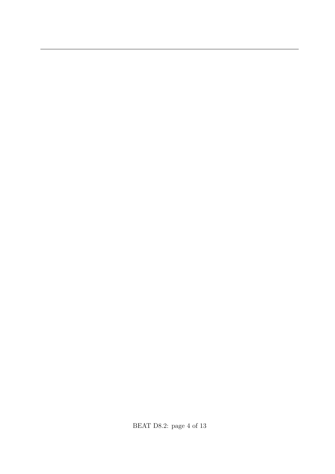BEAT D8.2: page 4 of [13](#page-12-0)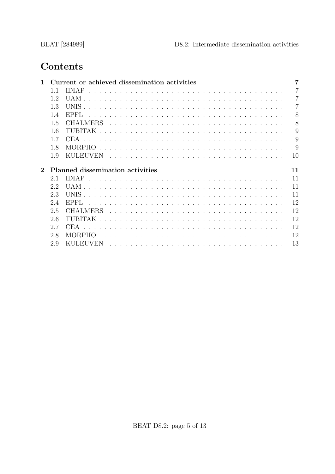## Contents

| $\mathbf{1}$   |     | Current or achieved dissemination activities |    |
|----------------|-----|----------------------------------------------|----|
|                | 11  | <b>IDIAP</b>                                 |    |
|                | 1.2 |                                              | 7  |
|                | 1.3 |                                              | 7  |
|                | 1.4 | EPFL                                         | 8  |
|                | 1.5 | <b>CHALMERS</b>                              | 8  |
|                | 1.6 |                                              | 9  |
|                | 17  | CEA.                                         | 9  |
|                | 1.8 | <b>MORPHO</b>                                | 9  |
|                | 1.9 | <b>KULEUVEN</b>                              | 10 |
|                |     |                                              |    |
| $\overline{2}$ |     | Planned dissemination activities             | 11 |
|                | 21  | <b>IDIAP</b>                                 | 11 |
|                | 2.2 | UAM                                          | 11 |
|                | 2.3 |                                              | 11 |
|                | 24  | EPFL                                         | 12 |
|                | 2.5 | <b>CHALMERS</b>                              | 12 |
|                | 2.6 |                                              | 12 |
|                | 2.7 | CEA.                                         | 12 |
|                | 2.8 | <b>MORPHO</b>                                | 12 |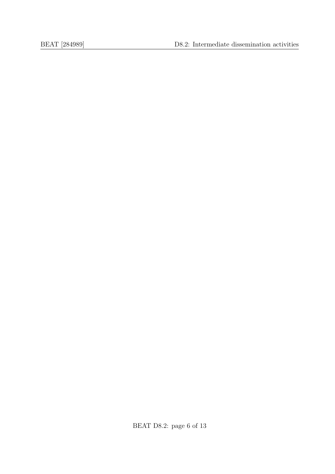BEAT D8.2: page 6 of [13](#page-12-0)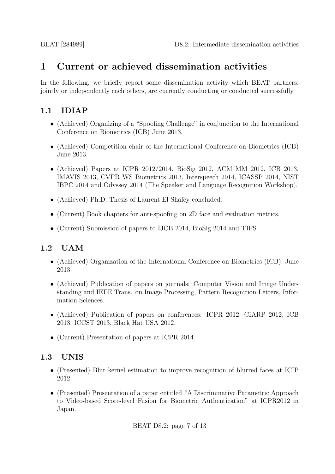### <span id="page-6-0"></span>1 Current or achieved dissemination activities

In the following, we briefly report some dissemination activity which BEAT partners, jointly or independently each others, are currently conducting or conducted successfully.

#### <span id="page-6-1"></span>1.1 IDIAP

- (Achieved) Organizing of a "Spoofing Challenge" in conjunction to the International Conference on Biometrics (ICB) June 2013.
- (Achieved) Competition chair of the International Conference on Biometrics (ICB) June 2013.
- (Achieved) Papers at ICPR 2012/2014, BioSig 2012, ACM MM 2012, ICB 2013, IMAVIS 2013, CVPR WS Biometrics 2013, Interspeech 2014, ICASSP 2014, NIST IBPC 2014 and Odyssey 2014 (The Speaker and Language Recognition Workshop).
- (Achieved) Ph.D. Thesis of Laurent El-Shafey concluded.
- (Current) Book chapters for anti-spoofing on 2D face and evaluation metrics.
- (Current) Submission of papers to IJCB 2014, BioSig 2014 and TIFS.

#### <span id="page-6-2"></span>1.2 UAM

- (Achieved) Organization of the International Conference on Biometrics (ICB), June 2013.
- (Achieved) Publication of papers on journals: Computer Vision and Image Understanding and IEEE Trans. on Image Processing, Pattern Recognition Letters, Information Sciences.
- (Achieved) Publication of papers on conferences: ICPR 2012, CIARP 2012, ICB 2013, ICCST 2013, Black Hat USA 2012.
- (Current) Presentation of papers at ICPR 2014.

#### <span id="page-6-3"></span>1.3 UNIS

- (Presented) Blur kernel estimation to improve recognition of blurred faces at ICIP 2012.
- (Presented) Presentation of a paper entitled "A Discriminative Parametric Approach to Video-based Score-level Fusion for Biometric Authentication" at ICPR2012 in Japan.

BEAT D8.2: page 7 of [13](#page-12-0)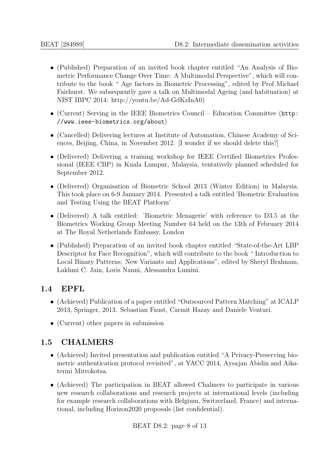- (Published) Preparation of an invited book chapter entitled "An Analysis of Biometric Performance Change Over Time: A Multimodal Perspective", which will contribute to the book " Age factors in Biometric Processing", edited by Prof Michael Fairhurst. We subsequently gave a talk on Multimodal Ageing (and habituation) at NIST IBPC 2014: http://youtu.be/Ad-GdKzInA0)
- (Current) Serving in the IEEE Biometrics Council Education Committee ([http:](http://www.ieee-biometrics.org/about) [//www.ieee-biometrics.org/about](http://www.ieee-biometrics.org/about))
- (Cancelled) Delivering lectures at Institute of Automation, Chinese Academy of Sciences, Beijing, China, in November 2012. [I wonder if we should delete this?]
- (Delivered) Delivering a training workshop for IEEE Certified Biometrics Professional (IEEE CBP) in Kuala Lumpur, Malaysia, tentatively planned scheduled for September 2012.
- (Delivered) Organisation of Biometric School 2013 (Winter Edition) in Malaysia. This took place on 6-9 January 2014. Presented a talk entitled 'Biometric Evaluation and Testing Using the BEAT Platform'
- (Delivered) A talk entitled: 'Biometric Menagerie' with reference to D3.5 at the Biometrics Working Group Meeting Number 64 held on the 13th of February 2014 at The Royal Netherlands Embassy, London
- (Published) Preparation of an invited book chapter entitled "State-of-the-Art LBP Descriptor for Face Recognition", which will contribute to the book " Introduction to Local Binary Patterns: New Variants and Applications", edited by Sheryl Brahnam, Lakhmi C. Jain, Loris Nanni, Alessandra Lumini.

#### <span id="page-7-0"></span>1.4 EPFL

- (Achieved) Publication of a paper entitled "Outsourced Pattern Matching" at ICALP 2013, Springer, 2013. Sebastian Faust, Carmit Hazay and Daniele Venturi.
- (Current) other papers in submission

#### <span id="page-7-1"></span>1.5 CHALMERS

- (Achieved) Invited presentation and publication entitled "A Privacy-Preserving biometric authentication protocol revisited", at YACC 2014, Aysajan Abidin and Aikaterini Mitrokotsa.
- (Achieved) The participation in BEAT allowed Chalmers to participate in various new research collaborations and research projects at international levels (including for example research collaborations with Belgium, Switzerland, France) and international, including Horizon2020 proposals (list confidential).

BEAT D8.2: page 8 of [13](#page-12-0)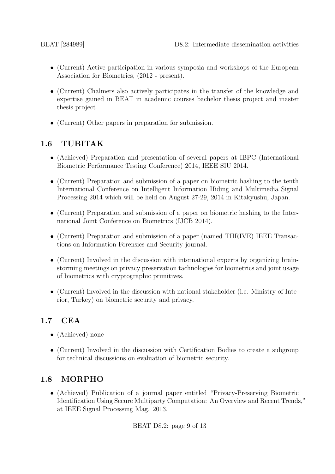- (Current) Active participation in various symposia and workshops of the European Association for Biometrics, (2012 - present).
- (Current) Chalmers also actively participates in the transfer of the knowledge and expertise gained in BEAT in academic courses bachelor thesis project and master thesis project.
- (Current) Other papers in preparation for submission.

#### <span id="page-8-0"></span>1.6 TUBITAK

- (Achieved) Preparation and presentation of several papers at IBPC (International Biometric Performance Testing Conference) 2014, IEEE SIU 2014.
- (Current) Preparation and submission of a paper on biometric hashing to the tenth International Conference on Intelligent Information Hiding and Multimedia Signal Processing 2014 which will be held on August 27-29, 2014 in Kitakyushu, Japan.
- (Current) Preparation and submission of a paper on biometric hashing to the International Joint Conference on Biometrics (IJCB 2014).
- (Current) Preparation and submission of a paper (named THRIVE) IEEE Transactions on Information Forensics and Security journal.
- (Current) Involved in the discussion with international experts by organizing brainstorming meetings on privacy preservation tachnologies for biometrics and joint usage of biometrics with cryptographic primitives.
- (Current) Involved in the discussion with national stakeholder (i.e. Ministry of Interior, Turkey) on biometric security and privacy.

#### <span id="page-8-1"></span>1.7 CEA

- (Achieved) none
- (Current) Involved in the discussion with Certification Bodies to create a subgroup for technical discussions on evaluation of biometric security.

#### <span id="page-8-2"></span>1.8 MORPHO

• (Achieved) Publication of a journal paper entitled "Privacy-Preserving Biometric Identification Using Secure Multiparty Computation: An Overview and Recent Trends," at IEEE Signal Processing Mag. 2013.

BEAT D8.2: page 9 of [13](#page-12-0)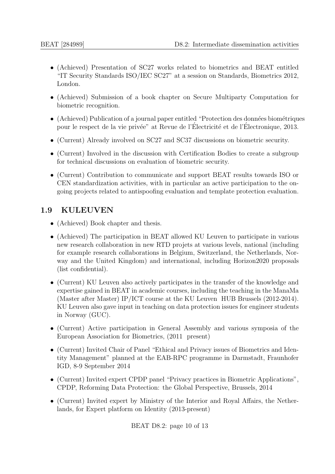- (Achieved) Presentation of SC27 works related to biometrics and BEAT entitled "IT Security Standards ISO/IEC SC27" at a session on Standards, Biometrics 2012, London.
- (Achieved) Submission of a book chapter on Secure Multiparty Computation for biometric recognition.
- (Achieved) Publication of a journal paper entitled "Protection des données biométriques pour le respect de la vie privée" at Revue de l'Electricité et de l'Electronique, 2013.
- (Current) Already involved on SC27 and SC37 discussions on biometric security.
- (Current) Involved in the discussion with Certification Bodies to create a subgroup for technical discussions on evaluation of biometric security.
- (Current) Contribution to communicate and support BEAT results towards ISO or CEN standardization activities, with in particular an active participation to the ongoing projects related to antispoofing evaluation and template protection evaluation.

#### <span id="page-9-0"></span>1.9 KULEUVEN

- (Achieved) Book chapter and thesis.
- (Achieved) The participation in BEAT allowed KU Leuven to participate in various new research collaboration in new RTD projets at various levels, national (including for example research collaborations in Belgium, Switzerland, the Netherlands, Norway and the United Kingdom) and international, including Horizon2020 proposals (list confidential).
- (Current) KU Leuven also actively participates in the transfer of the knowledge and expertise gained in BEAT in academic courses, including the teaching in the ManaMa (Master after Master) IP/ICT course at the KU Leuven HUB Brussels (2012-2014). KU Leuven also gave input in teaching on data protection issues for engineer students in Norway (GUC).
- (Current) Active participation in General Assembly and various symposia of the European Association for Biometrics, (2011 present)
- (Current) Invited Chair of Panel "Ethical and Privacy issues of Biometrics and Identity Management" planned at the EAB-RPC programme in Darmstadt, Fraunhofer IGD, 8-9 September 2014
- (Current) Invited expert CPDP panel "Privacy practices in Biometric Applications", CPDP, Reforming Data Protection: the Global Perspective, Brussels, 2014
- (Current) Invited expert by Ministry of the Interior and Royal Affairs, the Netherlands, for Expert platform on Identity (2013-present)

BEAT D8.2: page 10 of [13](#page-12-0)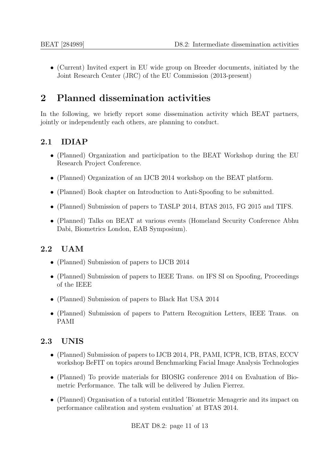• (Current) Invited expert in EU wide group on Breeder documents, initiated by the Joint Research Center (JRC) of the EU Commission (2013-present)

### <span id="page-10-0"></span>2 Planned dissemination activities

In the following, we briefly report some dissemination activity which BEAT partners, jointly or independently each others, are planning to conduct.

#### <span id="page-10-1"></span>2.1 IDIAP

- (Planned) Organization and participation to the BEAT Workshop during the EU Research Project Conference.
- (Planned) Organization of an IJCB 2014 workshop on the BEAT platform.
- (Planned) Book chapter on Introduction to Anti-Spoofing to be submitted.
- (Planned) Submission of papers to TASLP 2014, BTAS 2015, FG 2015 and TIFS.
- (Planned) Talks on BEAT at various events (Homeland Security Conference Abhu Dabi, Biometrics London, EAB Symposium).

#### <span id="page-10-2"></span>2.2 UAM

- (Planned) Submission of papers to IJCB 2014
- (Planned) Submission of papers to IEEE Trans. on IFS SI on Spoofing, Proceedings of the IEEE
- (Planned) Submission of papers to Black Hat USA 2014
- (Planned) Submission of papers to Pattern Recognition Letters, IEEE Trans. on PAMI

#### <span id="page-10-3"></span>2.3 UNIS

- (Planned) Submission of papers to IJCB 2014, PR, PAMI, ICPR, ICB, BTAS, ECCV workshop BeFIT on topics around Benchmarking Facial Image Analysis Technologies
- (Planned) To provide materials for BIOSIG conference 2014 on Evaluation of Biometric Performance. The talk will be delivered by Julien Fierrez.
- (Planned) Organisation of a tutorial entitled 'Biometric Menagerie and its impact on performance calibration and system evaluation' at BTAS 2014.

BEAT D8.2: page 11 of [13](#page-12-0)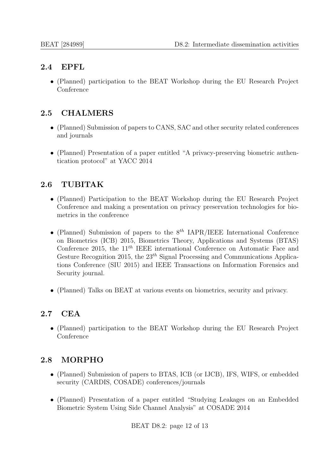#### <span id="page-11-0"></span>2.4 EPFL

• (Planned) participation to the BEAT Workshop during the EU Research Project Conference

#### <span id="page-11-1"></span>2.5 CHALMERS

- (Planned) Submission of papers to CANS, SAC and other security related conferences and journals
- (Planned) Presentation of a paper entitled "A privacy-preserving biometric authentication protocol" at YACC 2014

#### <span id="page-11-2"></span>2.6 TUBITAK

- (Planned) Participation to the BEAT Workshop during the EU Research Project Conference and making a presentation on privacy preservation technologies for biometrics in the conference
- (Planned) Submission of papers to the  $8^{th}$  IAPR/IEEE International Conference on Biometrics (ICB) 2015, Biometrics Theory, Applications and Systems (BTAS) Conference 2015, the  $11^{th}$  IEEE international Conference on Automatic Face and Gesture Recognition 2015, the  $23<sup>th</sup>$  Signal Processing and Communications Applications Conference (SIU 2015) and IEEE Transactions on Information Forensics and Security journal.
- (Planned) Talks on BEAT at various events on biometrics, security and privacy.

#### <span id="page-11-3"></span>2.7 CEA

• (Planned) participation to the BEAT Workshop during the EU Research Project Conference

#### <span id="page-11-4"></span>2.8 MORPHO

- (Planned) Submission of papers to BTAS, ICB (or IJCB), IFS, WIFS, or embedded security (CARDIS, COSADE) conferences/journals
- (Planned) Presentation of a paper entitled "Studying Leakages on an Embedded Biometric System Using Side Channel Analysis" at COSADE 2014

BEAT D8.2: page 12 of [13](#page-12-0)